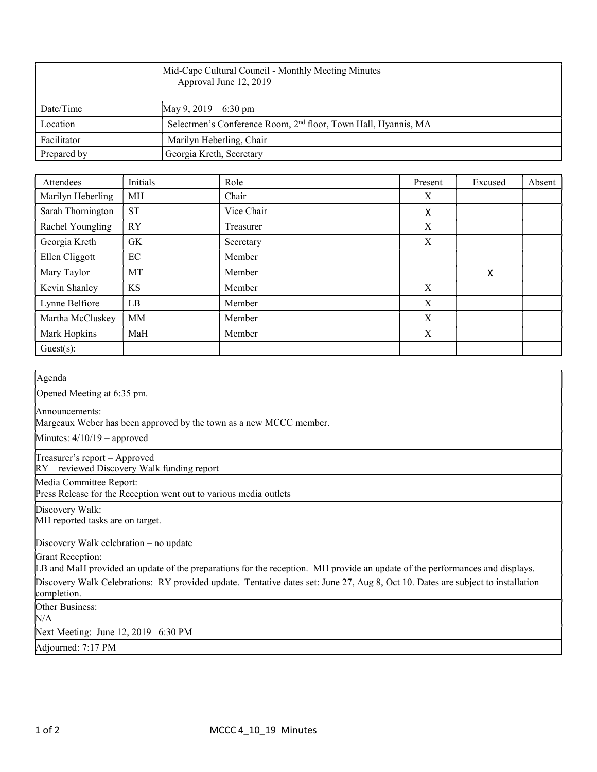| Mid-Cape Cultural Council - Monthly Meeting Minutes<br>Approval June 12, 2019 |                                                                            |  |  |  |
|-------------------------------------------------------------------------------|----------------------------------------------------------------------------|--|--|--|
| Date/Time                                                                     | May 9, 2019 6:30 pm                                                        |  |  |  |
| Location                                                                      | Selectmen's Conference Room, 2 <sup>nd</sup> floor, Town Hall, Hyannis, MA |  |  |  |
| Facilitator                                                                   | Marilyn Heberling, Chair                                                   |  |  |  |
| Prepared by                                                                   | Georgia Kreth, Secretary                                                   |  |  |  |

| Attendees         | Initials  | Role       | Present | Excused | Absent |
|-------------------|-----------|------------|---------|---------|--------|
| Marilyn Heberling | MH        | Chair      | X       |         |        |
| Sarah Thornington | <b>ST</b> | Vice Chair | X       |         |        |
| Rachel Youngling  | <b>RY</b> | Treasurer  | X       |         |        |
| Georgia Kreth     | GK.       | Secretary  | X       |         |        |
| Ellen Cliggott    | EC        | Member     |         |         |        |
| Mary Taylor       | MT        | Member     |         | X       |        |
| Kevin Shanley     | KS        | Member     | X       |         |        |
| Lynne Belfiore    | LB        | Member     | X       |         |        |
| Martha McCluskey  | MM        | Member     | X       |         |        |
| Mark Hopkins      | MaH       | Member     | X       |         |        |
| $Guest(s)$ :      |           |            |         |         |        |

| Agenda                                                                                                                                          |
|-------------------------------------------------------------------------------------------------------------------------------------------------|
| Opened Meeting at 6:35 pm.                                                                                                                      |
| Announcements:<br>Margeaux Weber has been approved by the town as a new MCCC member.                                                            |
| Minutes: $4/10/19$ – approved                                                                                                                   |
| Treasurer's report - Approved<br>$RY$ – reviewed Discovery Walk funding report                                                                  |
| Media Committee Report:<br>Press Release for the Reception went out to various media outlets                                                    |
| Discovery Walk:<br>MH reported tasks are on target.                                                                                             |
| Discovery Walk celebration $-$ no update                                                                                                        |
| Grant Reception:<br>LB and MaH provided an update of the preparations for the reception. MH provide an update of the performances and displays. |
| Discovery Walk Celebrations: RY provided update. Tentative dates set: June 27, Aug 8, Oct 10. Dates are subject to installation<br>completion.  |
| Other Business:<br>N/A                                                                                                                          |
| Next Meeting: June 12, 2019 6:30 PM                                                                                                             |
| Adjourned: 7:17 PM                                                                                                                              |